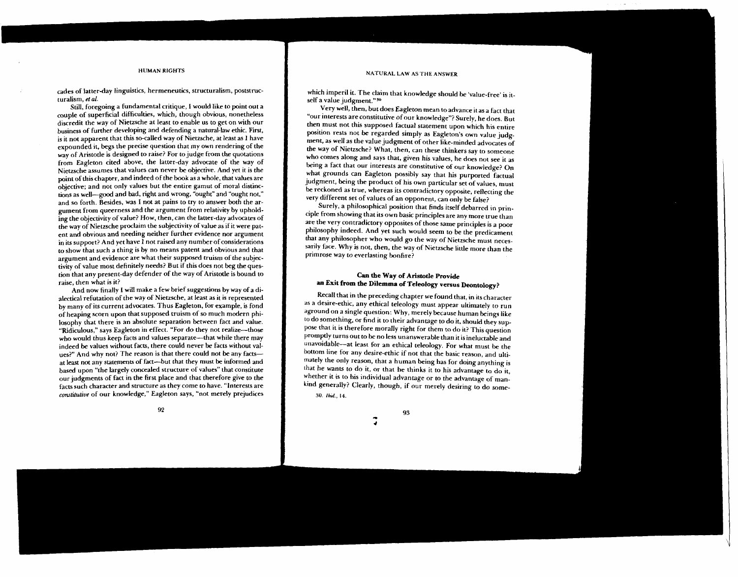cades of latter-day linguistics, hermeneutics, structuralism, poststructuralism, **el** *al.* 

Still, foregoing a fundamental critique, I would like to point out a couple of superficial difficulties, which, though obvious, nonetheless discredit the way of Nietzsche at least to enable us to get on with our business of further developing and defending a natural-law ethic. First, is it not apparent that this so-called way of Nietzsche, at least as **I** have expounded it, begs the precise question that my own rendering of the way of Aristotle is designed to raise? For to judge from the quotations from Eagleton cited above, the latter-day advocate of the way of Nietzsche assumes that values can never be objective. And yet it is the point of this chapter, and indeed of the book as a whole, that values are objective; and not only values but the entire gamut of moral distinctions as well-good and bad, right and wrong, "ought" and "ought not," and so forth. Besides, was I not at pains to try to answer both the argument from queerness and the argument from relativity by upholding the objectivity of value? How, then, can the latter-day advocates of the way of Nietzsche proclaim the subjectivity of value as if it were patent and obvious and needing neither further evidence nor argument in its support? And yet have **1** not raised any number of considerations to show that such a thing is by no means patent and obvious and that argument and evidence are what their supposed truism of the subjectivity of value most definitely needs? But if this does not beg the question that any present-day defender of the way of Aristotle is bound to raise, then what is it?

And now finally I will make a few brief suggestions by way of a dialectical refutation of the way of Nietzsche, at least as it is represented by many of its current advocates. Thus Eagleton, for example, is fond of heaping scorn upon that supposed truism of so much modern philosophy that there is an absolute separation between fact and value. "Ridiculous," says Eagleton in effect. "For do they not realize-those who would thus keep facts and values separate-that while there may indeed be values without facts, there could never be facts without values?" And why not? The reason is that there could not be any factsat least not any statements of fact-but that they must **be** informed and based upon "the largely concealed structure of values" that constitute our judgments of fact in the first place and that therefore give to the facts such character and structure as they come to have. "Interests are *comtitutiue* of our knowledge." Eagleton says, "not merely prejudices

# 92

## **NATURAL LAW AS THE ANSWER**

which imperil it. The claim that knowledge should be 'value-free' is it-self a value iudgment."<sup>30</sup>

Very well, then, but does Eagleton mean to advance it as a fact that "our interests are constitutive of our knowledge"? Surely, he does. But then must not this supposed factual statement upon which his entire position rests not be regarded simply as Eagleton's own value judgment, as well as the value judgment of other like-minded advocates of<br>the way of Nietzsche? What, then, can these thinkers say to someone who comes along and says that, given his values, he does not see it as being a fact that our interests are constitutive of our knowledge? On what grounds can Eagleton possibly say that his purported factual judgment, being the product of his own particular set of values, must be reckoned as true, whereas its contradictory opposite, reflecting the very different set of values of an opponent, can only be false?

Surely, a philosophical position that finds itself debarred in principle from showing that its own basic principles are any more true than are the very contradictory opposites of those same principles is a poor philosophy indeed. And yet such would seem to be the predicament that any philosopher who would go the way of Nietzsche must necessarily face. Why is not, then, the way of Nietzsche little more than the primrose way to everlasting bonfire?

# **Can** the Way of **Aristorle** Provide an Exit from the Dilemma of Teleology versus Deontology?

Recall that in the preceding chapter we found that, in its character<br>as a desire-ethic, any ethical teleology must appear ultimately to run<br>aground on a single question: Why, merely because human beings like<br>to do somethin pose that it is therefore morally right for them to do it? This question promptly turns out to be no less unanswerable than it is ineluctable and unavoidable-at least for an ethical teleology. For what must be the bottom line for any desire-ethic if not that the basic reason, and ultimately the only reason, that a human being has for doing anything is that he wants to do it, or that he thinks it to his advantage to do it, whether it is to his individual advantage or to the advantage of mankind generally? Clearly, though, if our merely desiring to do some-

93

**30.** [bid., **14.**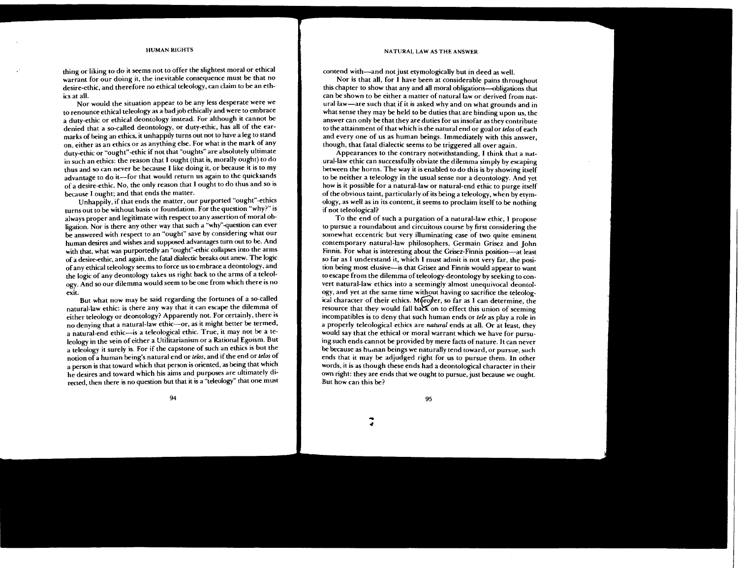thing or liking to do it seems not to offer the slightest moral or ethical warrant for our doing it, the inevitable consequence must be that no desire-ethic, and therefore no ethical teleology, can claim to be an ethics at all.

Nor would the situation appear to he any less desperate were we to renounce ethical teleology as a bad job ethically and were to embrace a duty-ethic or ethical deontology instead. For although it cannot he denied that a so-called deontology, or duty-ethic, has all of the earmarks of being an ethics, it unhappily turns out not to have a leg to stand on, either as an ethics or as anything else. For what is the mark of any duty-ethic or "ought"-ethic if not that "oughts" are absolutely ultimate in such an ethics: the reason that **1** ought (that is, morally ought) to do thus and so can never be hecause **1** like doing it, or because it is to my advantage to do it-for that would return us again to the quicksands of a desire-ethic. No, the only reason that **1** ought to do thus and so is because I ought; and that ends the matter.

Unhappily, if that ends the matter, our purported "ought"-ethics turns out to be without basis or foundation. For the question "why?" is always proper and legitimate with respect toany assertion of moral obligation. Nor is there any other way that such a "why"question can ever he answered with respect to an "ought" save by considering what our human desires and wishes and supposed advantages turn out to be. And with that, what was purportedly an "ought"-ethic collapses into the arms of a desire-ethic, and again, the fatal dialectic breaks out anew. The logic of any ethical teleology seems to force us toembrace a deontology, and the logic of any deontology takes us right back to the arms of a teleology. And so our dilemma would seem to he one from which there is no exit.

But what now may be said regarding the fortunes of a so-called natural-law ethic: is there any way that it can escape the dilemma of either teleology or deontology? Apparently not. For certainly, there is no denying that a natural-law ethic-or, as it might better be termed, a natural-end ethic-is a teleological ethic. True, it may not be a teleology in the vein of either a Utilitarianism or a Rational Egoism. But a teleology it surely is. For if the capstone of such an ethics is but the notion of a human being's natural end or *telos,* and if the end or *telos* of a person is that toward which that person is oriented, as being that which he desires and toward which his aims and purposes are ultimately directed, then there is no question but that it is a "teleology" that one must

## **NATURAL LAW AS THE ANSWER**

contend with-and not just etymologically but in deed as well.

Nor is that all, for I have been at considerable pains throughout this chapter to show that any and all moral obligations—obligations that can be shown to be either a matter of natural law or derived from natural law-are such that if it is asked why and on what grounds and in what sense they may be held to be duties that are binding upon us, the answer can only be that they are duties for us insofar as they contribute to the attainment of that which is the natural end or goal or *telos* of each and every one of us as human beings. Immediately with this answer, though, that fatal dialectic seems to be triggered all over again.

Appearances to the contrary notwithstanding. I think that a natural-law ethic can successfully obviate the dilemma simply by escaping between the horns. The way it is enabled to do this is by showing itself to **he** neither a teleology in the usual sense nor a deontology. And yet how is it possible for a natural-law or natural-end ethic to purge itself of the obvious taint, particularly of its being a teleology, when by etymology, as well as in its content. it seems to proclam itself to be nothing if not teleological?

To the end of such a purgation of a natural-law ethic. I propose to pursue a roundabout and circuitous course by first considering the somewhat eccentric but very illuminating case of two quite eminent contemporary natural-law philosophers. Germain Grisez and John Finnis. For what is interesting about the Grisez-Finnis position-at least so far as I understand it, which 1 must admit is not very far, the position being most elusive-is that Grisez and Finnis would appear to want to escape from the dilemma of teleology-deontology by seeking to convert natural-law ethics into a seemingly almost unequivocal deontology, and yet at the same time without having to sacrifice the teleological character of their ethics. Morover, so far as I can determine, the resource that they would fall back on to effect this union of seeming incompatibles is to deny that such human ends or *tele* as play a role in a properly teleological ethics are *nalurul* ends at all. Or at least. they would say that the ethical or moral warrant which we have for pursuing such ends cannot be provided by mere facts of nature. It can never be because as human beings we naturally tend toward, or pursue, such ends that it may **be** adjudged right for us to pursue them. In other words, it is as though these ends had a deontological character in their own right: they are ends that we ought to pursue, just because we ought. But how can this be?

94

**95**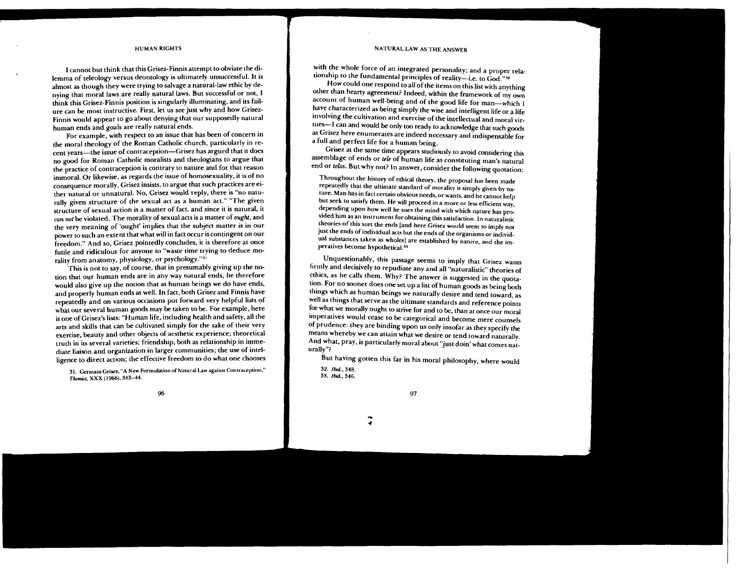1 cannot but think that this Grisez-Finnis attempt to obviate the dilemma of teleology versus deontology is ultimately unsuccessful. It is almost as though they were trying to salvage a natural-law ethic by denying that moral laws are really natural laws. But successful or not, 1 think this Grisez-Finnis position is singularly illuminating, and its failure can be most instructive. First, let us see just why and how Grisez-Finnis would appear to go about denying that our supposedly natural human ends and goals are really natural ends.

For example, with respect to an issue that has been of concern in the moral theology of the Roman Catholic church, particularly in recent years-the issue of contraception-Grisez has argued that it does no good for Roman Catholic moralists and theologians to argue that the practice of contraception is contrary to nature and for that reason immoral. Or likewise, as regards the issue of homosexuality, it is of no consequence morally, Grisez insists, to argue that such practices are either natural or unnatural. No, Grisez would reply, there is "no naturally given structure of the sexual act as a human act." "The given structure of sexual action is a matter of fact, and since it is natural, it can **not** be violated. The morality of sexual acts is a matter of **ought,** and the very meaning of 'ought' implies that the subject matter is in our power to such an extent that what will in fact occur iscontingent on our freedom." And so, Grisez pointedly concludes, it is therefore at once futile and ridiculous for anyone to "waste time trying to deduce morality from anatomy, physiology, or psychology."<sup>31</sup>

This is not to say, of course, that in presumably giving up the notion that our human ends are in any way natural ends, he therefore would also give up the notion that as human beings we do have ends, and properly human ends as well. In fact, both Grisez and Finnis have repeatedly and on various occasions put forward very helpful lists of what our several human goods may be taken to be. For example, here is one of Grisez's lists: "Human life, including health and safety, all the arts and skills that can be cultivated simply for the sake of their very exercise, beauty and other objects of aesthetic experience; theoretical truth in its several varieties; friendship, both as relationship in immediate liaison and organization in larger communities; the use of intelligence to direct action; the effective freedom to do what one chooses

**3 1. Gerrnain Grisez, "A New Formulationof Natural iaw against Contraception.''**  *Thmn&l,* **XXX (1966). 545-44.** 

#### 96

## NATURAL LAW AS THE ANSWER

with the whole force of an integrated personality; and a proper relationship to the fundamental principles of reality-i.e. to God."32

How could one respond to all of the items on this list with anything other than hearty agreement? Indeed, within the framework of my own account of human well-being and of the good life for man—which I have characterized as being simply the wise and intelligent life or a life involving the cultivation and exercise of the intellectual and moral virtues—I can and would be only too ready to acknowledge that such goods as Grisez here enumerates are indeed necessary and indispensable for a full and perfect life for a human being.

Grisez at the same time appears studiously to avoid considering this assemblage of ends or tele of human life as constituting man's natural end or telos. But why not? In answer, consider the following quotation:

Throughout the history of ethical theory, the proposal has been made repeatedly that the ultimate standard of morality is simply given by nature. Man has in fact certain obvious needs, or wants, and he cannot help but seek to satisfy them. He will proceed in a more or less efficient way, depending upon how well he uses the mind with which nature has provided him as an instrument for obtaining this satisfaction. In naturalistic theories of this sort the ends [and here Grisez would seem to imply not just the ends of individual acts but the ends of the organisms or individual ual substances taken as wholes] are established by nature, and the imperatives become hypothetical.<sup>33</sup>

Unquestionably, this passage seems to imply that Grisez wants firmly and decisively to repudiate any and all "naturalistic" theories of ethics, as he calls them. Why? The answer is suggested in the quotation. For no sooner does one set up a list of human goods as being both things which as human beings we naturally desire and tend toward, as well as things that serve as the ultimate standards and reference points for what we morally ought to strive for and to be, than at once our moral imperatives would cease to be categorical and become mere counsels of prudence: they are binding upon us only insofar as they specify the means whereby we can attain what we desire or tend toward naturally. And what, pray, is particularly moral about "just doin' what comes naturally"?

But having gotten this far in his moral philosophy, where would 32. Ibid., 348. 33. Ibid., 346.

97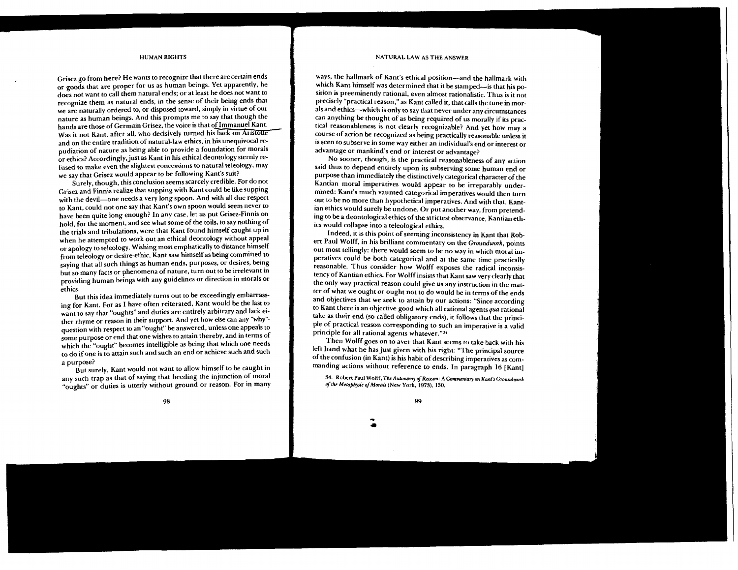Grisez go from here? He wants to recognize that there arecertain ends or goods that are proper for us as human beings. Yet apparently, he does not want to call them natural ends; or at least he does not want to recognize them as natural ends, in the sense of their being ends that we are naturally ordered **to,** or disposed toward, simply in virtue of our nature as human beings. And this prompts me to say that though the hands are those of Germain Grisez, the voice is that of Immanuel Kant. Was it not Kant, after all, who decisively turned his back on Aristotle and on the entire tradition of natural-law ethics, in his unequivocal repudiation of nature as being able to provide a foundation for morals or ethics? Accordingly, just as Kant in his ethical deontology sternly refused to make even the slightest concessions to natural teleology, may we say that Grisez would appear to be following Kant's suit?

Surely, though, this conclusion seems scarcely credible. For do not Grisez and Finnis realize that supping with Kant could be like supping with the devil-one needs a very long spoon. And with all due respect to Kant, could not one say that Kant's own spoon would seem never to have been quite long enough? In any case, let us put Grisez-Finnis on hold, for the moment, and see what some of the toils, to say nothing of the trials and tribulations, were that Kant found himself caught up in when he attempted to work out an ethical deontology without appeal or apology to teleology. Wishing most emphatically to distance himself from teleology or desire-ethic, Kant saw himself as being committed to saying that all such things as human ends, purposes, or desires, being but so many facts or phenomena of nature, turn out to be irrelevant in providing human beings with any guidelines or direction in morals or ethics.

But this idea immediately turns out to be exceedingly embarrassing for Kant. For as I have often reiterated, Kant would be the last to want to say that "oughts" and duties are entirely arbitrary and lack either rhyme or reason in their support. And yet how else can any "why" question with respect to an "ought" be answered, unlessone appeals to some purpose or end that one wishes to attain thereby, and in terms of which the "ought" becomes intelligible as being that which one needs to do if one is to attain such and such an end or achieve such and such a purpose?

But surely, Kant would not want to allow himself to be caught in any such trap as that of saying that heeding the injunction of moral "oughts" or duties is utterly without ground or reason. For in many

## 98

#### **NAl'URAL LAW AS THF. ANSWFR**

ways, the hallmark of Kant's ethical position-and the hallmark with which Kant himself was determined that it be stamped-is that his position is preeminently rational, even almost rationalistic. Thus is it not precisely "practical reason." as Kant called it, that calls the tune in morals and ethics--which is only to say that never under any circumstances can anything be thought of as being required of us morally if its practical reasonableness is not clearly recognizable? And yet how may a course of action be recognized as being practically reasonable unless it is seen to subserve in some way either an individual's end or interest or advantage or mankind's end or interest or advantage?

No sooner, though, is the practical reasonableness of any action said thus to depend entirely upon its subserving some human end or purpose than immediately the distinctively categorical character of the Kantian moral imperatives would appear to be irreparably undermined: Kant's much vaunted categorical imperatives would then turn out to be no more than hypothetical imperatives. And with that, Kantian ethics would surely be undone. Or put another way, from pretending to be a deontological ethics of the strictest observance, Kantian ethics would collapse into a teleological ethics.

Indeed, it is this point of seeming inconsistency in Kant that Robert Paul Wolff, in his brilliant commentary on the Groundwork, points out most tellingly: there would seem to be no way in which moral imperatives could be both categorical and at the same time practically reasonable. Thus consider how Wolff exposes the radlcal inconsistency of Kantian ethics. For Wolffinsists that Kant saw very clearly that the only way practical reason could give us any instruction in the matter of what we ought or ought not to do would be in terms of the ends and objectives that we seek to attain by our actions: "Since according to Kant there is an objective good which all rational agents qua rational take as their end (so-called obligatory ends), it follows that the principle of practical reason corresponding to such an imperative is a valid principle for all rational agents whatever."<sup>34</sup>

Then Wolff goes on to aver that Kant seems to take back with his left hand what he has just given with his right: "The principal source of the confusion (in Kant) is his habit of describing imperatives as commanding actions without reference to ends. In paragraph IS [Kant]

**94. Rohert Paul Woltt. Tlu Au(orrmn) oJRca,un A Cmnvnloq** n **Kunr's (;rounduwk o/lht M~lophysu o/MwaLr (New York. 1979). 190.** 

**99** 

 **a**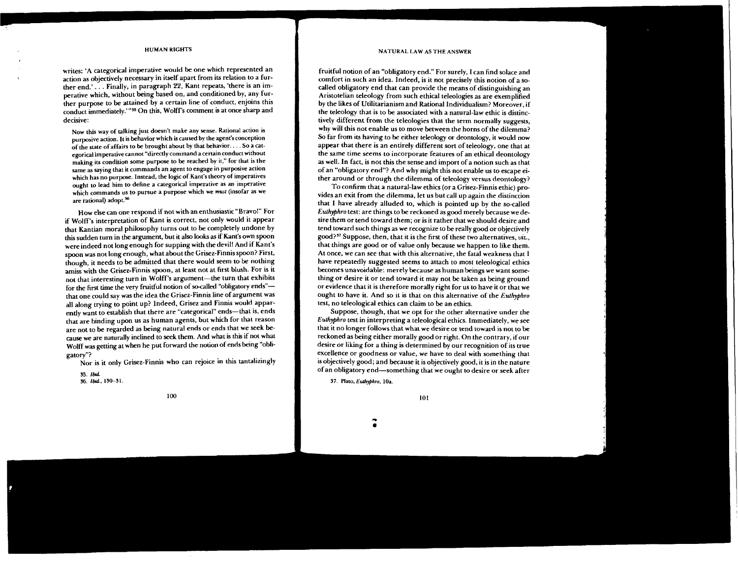writes: 'A categorical imperative would be one which represented an action as objectively necessary in itself apart from its relation to a further end.' . . . Finally, in paragraph 22, Kant repeats, 'there is an imperative which, without being based on, and conditioned by, any further purpose to be attained by a certain line of conduct, enjoins this conduct immediately.'"<sup>35</sup> On this, Wolff's comment is at once sharp and decisive:

Now this way of talking just doesn't make any sense. Rational action is purposive action. It is behavior which is caused by the agent's conception of the state of affairs to be brought about by that behavior.. . . So a categorical imperative cannot "directly command a certain conduct without making its condition some purpose to be reached by it," for that is the same as saying that it commands an agent to engage in purposive action which has no purpose. Instead, the logic of Kant's theory of imperatives ought to lead him to define a categorical imperative as an imperative which commands us to pursue a purpose which we must (insofar as we are rational) adopt.<sup>36</sup>

How else can one respond if not with an enthusiastic "Bravo!" For if Wolff's interpretation of Kant is correct, not only would it appear that Kantian moral philosophy turns out to be completely undone by this sudden turn in the argument, but it also looks as if Kant's own spoon wereindeed not longenough for supping with thedevil! And if Kant's spoon was not long enough, what about the Grisez-Finnis spoon? First, though, it needs to be admitted that there would seem to be nothing amiss with the Grisez-Finnis spoon. at least not at first blush. For is it not that interesting turn in Wolff's argument-the turn that exhibits for the first time the very fruitful notion of so-called "obligatory ends"that one could say was the idea the Grisez-Finnis line of argument was all along trying to point up? Indeed, Grisez and Finnis would apparently want to establish that there are "categorical" ends-that is, ends that are binding upon us as human agents, but which for that reason are not to be regarded as being natural ends or ends that we seek because we are naturally inclined to seek them. And what is this if not what Wolff was getting at when he put forward the notion of ends being "obligatory"?

Nor is it only Grisez-Finnis who can rejoice in this tantalizingly

35. Ibid. 36. Ibid., 130-31.

100

#### **NATURAL LAW AS THE ANSWER**

fruitful notion of an "obligatory end." For surely. 1 can find solace and comfort in such an idea. Indeed, is it not precisely this notion of a socalled obligatory end that can provide the means of distinguishing an Aristotelian teleology from such ethical teleologies as are exemplified by the likes of Utilitarianism and Rational Individualism? Moreover, if the teleology that is to be associated with a natural-law ethic is distinctively different from the teleologies that the term normally suggests, why will this not enable us to move between the horns of the dilemma? So far from its having to be either teleology or deontology, it would now appear that there is an entirely different sort of teleology, one that at the same time seems to incorporate features of an ethical deontology as well. In fact, is not this the sense and import of a notion such as that of an "obligatory end"? And why might this not enable us to escape either around or through the dilemma of teleology versus deontology?

To confirm that a natural-law ethics (or a Grisez-Finnis ethic) provides an exit from the dilemma, let us but call up again the distinction that I have already alluded to, which is pointed up by the so-called *Eufhyphro* test: are things to be reckoned as good merely because wedesire them or tend toward them; or is it rather that we should desire and tend toward such things as we recognize to be really good or objectively good?<sup>37</sup> Suppose, then, that it is the first of these two alternatives, viz., that things are good or of value only because we happen to like them. At once. we can see that with this alternative. the fatal weakness that I have repeatedly suggested seems to attach to most teleological ethics becomes unavoidable: merely because as human beings we want something or desire it or tend toward it may not be taken as being ground or evidence that it is therefore morally right for us to have it or that we ought to have it. And so it is that on this alternative of the *Eufhyphro*  test, no teleological ethics can claim to be an ethics.

Suppose, though, that we opt for the other alternative under the *Eufhyphro* test in interpreting a teleological ethics. Immediately, we see that it no longer follows that what we desire or tend toward is not to be reckoned as being either morally good or right. On the contrary, if our desire or liking for a thing is determined by our recognition of its true excellence or goodness or value, we have to deal with something that isobjectively good; and because it is objectively good, it is in the nature of an obligatory end-something that we ought to desire or seek after

37 Plato. **Etdhvphro.** IOa.

101

I

- **0**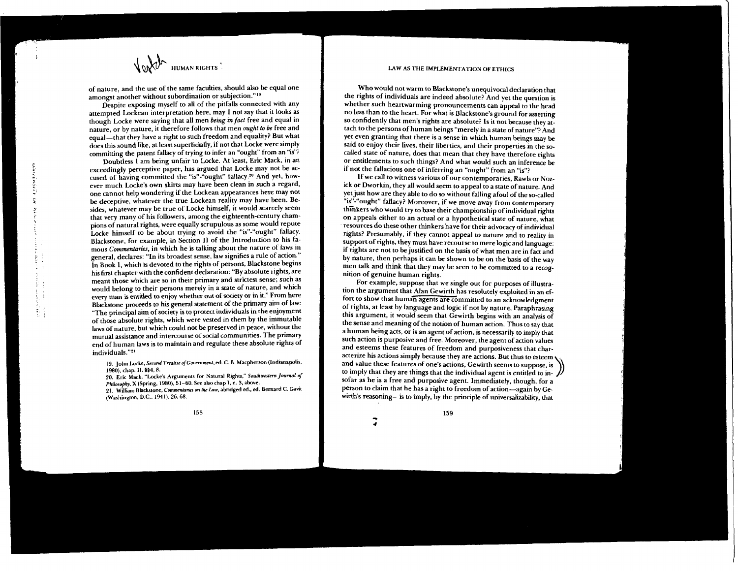of nature, and the use of the same faculties, should also be equal one amongst another without subordination or subjection."<sup>19</sup>

Despite exposing myself to all of the pitfalls connected with any attempted Lockean interpretation here, may I not say that it looks as though Locke were saying that all men *being in* fact free and equal in nature, or by nature, it therefore follows that men *ought* to *be* free and equal-that they have a right to such freedom and equality? But what does this sound like, at least superficially, if not that Locke were simply committing the patent fallacy of trying to infer an "ought" from an "is"?

Doubtless 1 am being unfair to Locke. At least, Eric Mack, in an exceedingly perceptive paper, has argued that Locke may not be accused of having committed the "is"-"ought" fallacy.<sup>20</sup> And yet, however much Locke's own skirts may have been clean in such a regard, one cannot help wondering if the Lockean appearances here may not be deceptive, whatever the true Lockean reality may have been. Besides, whatever may be true of Locke himself, it would scarcely seem that very many of his followers, among the eighteenth-century champions of natural rights, were equally scrupulous as some would repute Locke himself to be about trying to avoid the "is"-"ought" fallacy. Blackstone, for example, in Section 11 of the Introduction to his famous *Camenfaries,* in which he is talking about the nature of laws in general, declares: "In its broadest sense, law signifies a rule of action." In Book 1, which is devoted to the rights of persons, Blackstone begins his first chapter with the confident declaration: "By absolute rights, are meant those which are so in their primary and strictest sense; such as would belong to their persons merely in a state of nature, and which every man is entitled to enjoy whether out of society or in it." From here Blackstone proceeds to his general statement of the primary aim of law: "The principal aim of society is to protect individuals in the enjoyment of those absolute rights, which were vested in them by the immutable laws of nature, but which could not be preserved in peace, without the mutual assistance and intercourse of social communities. The primary end of human laws is to maintain and regulate these absolute rights of individuals."<sup>21</sup>

19. John Locke, Second Treatise of Government, ed. C. B. Macpherson (Indianapolis, **1980). chap. 11.984.8.** 

20. Eric Mack, "Locke's Arguments for Natural Rights," Southwestern Journal of *Philosophy,* **X (Spring, 1980), 51-60. See alsochap 1, n. 3, above.**  21. William Blackstone, Commentaries on the Law, abridged ed., ed. Bernard C. Gavit (Washington, D.C., 1941), 26, 68.

158

# **LAW AS THE IMPLEMENTATION OF ETHICS**

Who would not warm to Blackstone's unequivocal declaration that the rights of individuals are indeed absolute? And yet the question is whether such heartwarming pronouncements can appeal to the head no less than to the heart. For what is Blackstone's ground for asserting so confidently that men's rights are absolute? Is it not because they attach to the persons of human beings "merely in a state of nature"? And yet even granting that there is a sense in which human beings may be said to enjoy their lives, their liberties, and their properties in the socalled state of nature, does that mean that they have therefore rights or entitlements to such things? And what would such an inference be if not the fallacious one of inferring an "ought" from an "is"?

If we call to witness various of our contemporaries, Rawls or Nozick or Dworkin, they all would seem to appeal to a state of nature. And yet just how are they able to do so without falling afoul of the so-called *"is"*. "ought" fallacy? Moreover, if we move away from contemporary thinkers who would try to base their championship of individual rights on appeals either to an actual or a hypothetical state of nature, what resources do these other thinkers have for their advocacy of individual rights? Presumably, if they cannot appeal to nature and to reality in support of rights, they must have recourse to mere logic and language: if rights are not to be justified on the basis of what men are in fact and by nature, then perhaps it can be shown to be on the basis of the way men talk and think that they may be seen to be committed to a recognition of genuine human rights.

For example, suppose that we single out for purposes of illustration the argument that Alan Gewirth has resolutely exploited in an effort to show that human agents are committed to an acknowledgment of rights, at least by language and logic if not by nature. Paraphrasing this argument, it would seem that Gewirth begins with an analysis of the sense and meaning of the notion of human action. Thus to say that a human being acts, or is an agent of action, is necessarily to imply that such action is purposive and free. Moreover, the agent of action values and esteems these features of freedom and purposiveness that characterize his actions simply because they are actions. But thus to esteem and value these features of one's actions, Gewirth seems to suppose, is to imply that they are things that the individual agent is entitled to insofar as he is a free and purposive agent. Immediately, though, for a person to claim that he has a right to freedom of action-again by Gewirth's reasoning-is to imply, by the principle of universalizability, that

**<sup>159</sup>**-

**4**